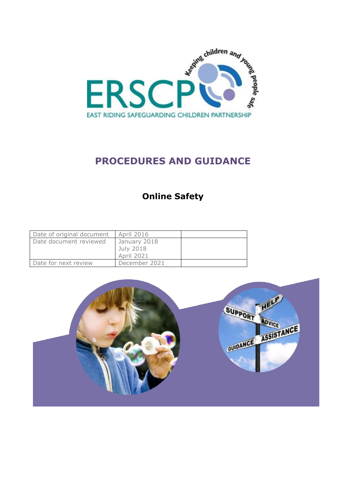

# **PROCEDURES AND GUIDANCE**

# **Online Safety**

| Date of original document | April 2016                                     |  |
|---------------------------|------------------------------------------------|--|
| Date document reviewed    | January 2018<br>July 2018<br><b>April 2021</b> |  |
| Date for next review      | December 2021                                  |  |

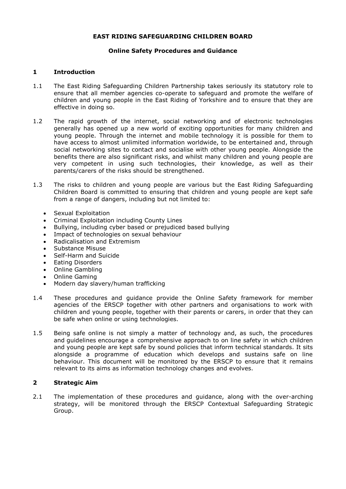#### **EAST RIDING SAFEGUARDING CHILDREN BOARD**

#### **Online Safety Procedures and Guidance**

### **1 Introduction**

- 1.1 The East Riding Safeguarding Children Partnership takes seriously its statutory role to ensure that all member agencies co-operate to safeguard and promote the welfare of children and young people in the East Riding of Yorkshire and to ensure that they are effective in doing so.
- 1.2 The rapid growth of the internet, social networking and of electronic technologies generally has opened up a new world of exciting opportunities for many children and young people. Through the internet and mobile technology it is possible for them to have access to almost unlimited information worldwide, to be entertained and, through social networking sites to contact and socialise with other young people. Alongside the benefits there are also significant risks, and whilst many children and young people are very competent in using such technologies, their knowledge, as well as their parents/carers of the risks should be strengthened.
- 1.3 The risks to children and young people are various but the East Riding Safeguarding Children Board is committed to ensuring that children and young people are kept safe from a range of dangers, including but not limited to:
	- Sexual Exploitation
	- Criminal Exploitation including County Lines
	- Bullying, including cyber based or prejudiced based bullying
	- Impact of technologies on sexual behaviour
	- Radicalisation and Extremism
	- **Substance Misuse**
	- Self-Harm and Suicide
	- Eating Disorders
	- Online Gambling
	- Online Gaming
	- Modern day slavery/human trafficking
- 1.4 These procedures and guidance provide the Online Safety framework for member agencies of the ERSCP together with other partners and organisations to work with children and young people, together with their parents or carers, in order that they can be safe when online or using technologies.
- 1.5 Being safe online is not simply a matter of technology and, as such, the procedures and guidelines encourage a comprehensive approach to on line safety in which children and young people are kept safe by sound policies that inform technical standards. It sits alongside a programme of education which develops and sustains safe on line behaviour. This document will be monitored by the ERSCP to ensure that it remains relevant to its aims as information technology changes and evolves.

# **2 Strategic Aim**

2.1 The implementation of these procedures and guidance, along with the over-arching strategy, will be monitored through the ERSCP Contextual Safeguarding Strategic Group.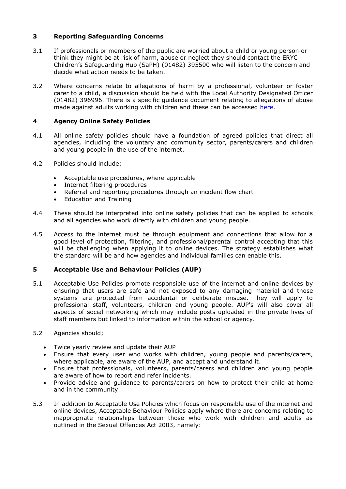# **3 Reporting Safeguarding Concerns**

- 3.1 If professionals or members of the public are worried about a child or young person or think they might be at risk of harm, abuse or neglect they should contact the ERYC Children's Safeguarding Hub (SaPH) (01482) 395500 who will listen to the concern and decide what action needs to be taken.
- 3.2 Where concerns relate to allegations of harm by a professional, volunteer or foster carer to a child, a discussion should be held with the Local Authority Designated Officer (01482) 396996. There is a specific guidance document relating to allegations of abuse made against adults working with children and these can be accessed [here.](http://www.erscb.org.uk/professionals-and-volunteers/procedures-and-guidance/)

# **4 Agency Online Safety Policies**

- 4.1 All online safety policies should have a foundation of agreed policies that direct all agencies, including the voluntary and community sector, parents/carers and children and young people in the use of the internet.
- 4.2 Policies should include:
	- Acceptable use procedures, where applicable
	- Internet filtering procedures
	- Referral and reporting procedures through an incident flow chart
	- Education and Training
- 4.4 These should be interpreted into online safety policies that can be applied to schools and all agencies who work directly with children and young people.
- 4.5 Access to the internet must be through equipment and connections that allow for a good level of protection, filtering, and professional/parental control accepting that this will be challenging when applying it to online devices. The strategy establishes what the standard will be and how agencies and individual families can enable this.

#### **5 Acceptable Use and Behaviour Policies (AUP)**

5.1 Acceptable Use Policies promote responsible use of the internet and online devices by ensuring that users are safe and not exposed to any damaging material and those systems are protected from accidental or deliberate misuse. They will apply to professional staff, volunteers, children and young people. AUP's will also cover all aspects of social networking which may include posts uploaded in the private lives of staff members but linked to information within the school or agency.

#### 5.2 Agencies should;

- Twice yearly review and update their AUP
- Ensure that every user who works with children, young people and parents/carers, where applicable, are aware of the AUP, and accept and understand it.
- Ensure that professionals, volunteers, parents/carers and children and young people are aware of how to report and refer incidents.
- Provide advice and guidance to parents/carers on how to protect their child at home and in the community.
- 5.3 In addition to Acceptable Use Policies which focus on responsible use of the internet and online devices, Acceptable Behaviour Policies apply where there are concerns relating to inappropriate relationships between those who work with children and adults as outlined in the Sexual Offences Act 2003, namely: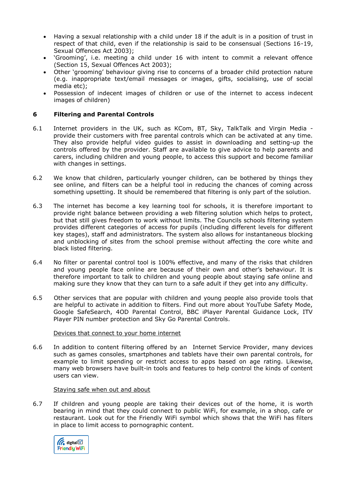- Having a sexual relationship with a child under 18 if the adult is in a position of trust in respect of that child, even if the relationship is said to be consensual (Sections 16-19, Sexual Offences Act 2003);
- 'Grooming', i.e. meeting a child under 16 with intent to commit a relevant offence (Section 15, Sexual Offences Act 2003);
- Other 'grooming' behaviour giving rise to concerns of a broader child protection nature (e.g. inappropriate text/email messages or images, gifts, socialising, use of social media etc);
- Possession of indecent images of children or use of the internet to access indecent images of children)

# **6 Filtering and Parental Controls**

- 6.1 Internet providers in the UK, such as KCom, BT, Sky, TalkTalk and Virgin Media provide their customers with free parental controls which can be activated at any time. They also provide helpful video guides to assist in downloading and setting-up the controls offered by the provider. Staff are available to give advice to help parents and carers, including children and young people, to access this support and become familiar with changes in settings.
- 6.2 We know that children, particularly younger children, can be bothered by things they see online, and filters can be a helpful tool in reducing the chances of coming across something upsetting. It should be remembered that filtering is only part of the solution.
- 6.3 The internet has become a key learning tool for schools, it is therefore important to provide right balance between providing a web filtering solution which helps to protect, but that still gives freedom to work without limits. The Councils schools filtering system provides different categories of access for pupils (including different levels for different key stages), staff and administrators. The system also allows for instantaneous blocking and unblocking of sites from the school premise without affecting the core white and black listed filtering.
- 6.4 No filter or parental control tool is 100% effective, and many of the risks that children and young people face online are because of their own and other's behaviour. It is therefore important to talk to children and young people about staying safe online and making sure they know that they can turn to a safe adult if they get into any difficulty.
- 6.5 Other services that are popular with children and young people also provide tools that are helpful to activate in addition to filters. Find out more about YouTube Safety Mode, Google SafeSearch, 4OD Parental Control, BBC iPlayer Parental Guidance Lock, ITV Player PIN number protection and Sky Go Parental Controls.

#### Devices that connect to your home internet

6.6 In addition to content filtering offered by an Internet Service Provider, many devices such as games consoles, smartphones and tablets have their own parental controls, for example to limit spending or restrict access to apps based on age rating. Likewise, many web browsers have built-in tools and features to help control the kinds of content users can view.

#### Staying safe when out and about

6.7 If children and young people are taking their devices out of the home, it is worth bearing in mind that they could connect to public WiFi, for example, in a shop, cafe or restaurant. Look out for the Friendly WiFi symbol which shows that the WiFi has filters in place to limit access to pornographic content.